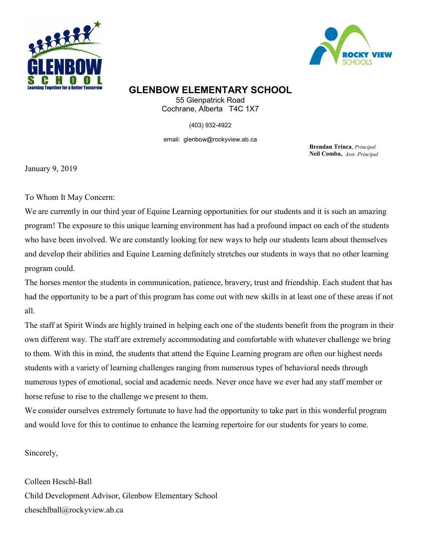



## **GLENBOW ELEMENTARY SCHOOL**

55 Glenpatrick Road Cochrane, Alberta T4C 1X7

(403) 932-4922

email: glenbow@rockyview.ab.ca

**Brendan Trinca**, *Principal* **Neil Comba,** *Asst. Principal*

January 9, 2019

To Whom It May Concern:

We are currently in our third year of Equine Learning opportunities for our students and it is such an amazing program! The exposure to this unique learning environment has had a profound impact on each of the students who have been involved. We are constantly looking for new ways to help our students learn about themselves and develop their abilities and Equine Learning definitely stretches our students in ways that no other learning program could.

The horses mentor the students in communication, patience, bravery, trust and friendship. Each student that has had the opportunity to be a part of this program has come out with new skills in at least one of these areas if not all.

The staff at Spirit Winds are highly trained in helping each one of the students benefit from the program in their own different way. The staff are extremely accommodating and comfortable with whatever challenge we bring to them. With this in mind, the students that attend the Equine Learning program are often our highest needs students with a variety of learning challenges ranging from numerous types of behavioral needs through numerous types of emotional, social and academic needs. Never once have we ever had any staff member or horse refuse to rise to the challenge we present to them.

We consider ourselves extremely fortunate to have had the opportunity to take part in this wonderful program and would love for this to continue to enhance the learning repertoire for our students for years to come.

Sincerely,

Colleen Heschl-Ball Child Development Advisor, Glenbow Elementary School cheschlball@rockyview.ab.ca